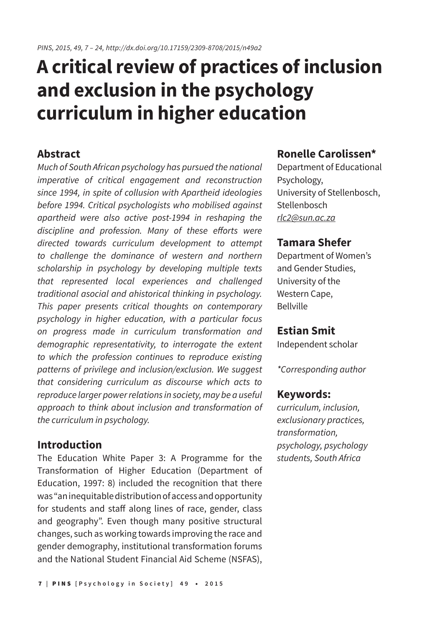# **A critical review of practices of inclusion and exclusion in the psychology curriculum in higher education**

## **Abstract**

*Much of South African psychology has pursued the national imperative of critical engagement and reconstruction since 1994, in spite of collusion with Apartheid ideologies before 1994. Critical psychologists who mobilised against apartheid were also active post-1994 in reshaping the*  discipline and profession. Many of these efforts were *directed towards curriculum development to attempt to challenge the dominance of western and northern scholarship in psychology by developing multiple texts that represented local experiences and challenged traditional asocial and ahistorical thinking in psychology. This paper presents critical thoughts on contemporary psychology in higher education, with a particular focus on progress made in curriculum transformation and demographic representativity, to interrogate the extent to which the profession continues to reproduce existing patterns of privilege and inclusion/exclusion. We suggest that considering curriculum as discourse which acts to reproduce larger power relations in society, may be a useful approach to think about inclusion and transformation of the curriculum in psychology.*

## **Introduction**

The Education White Paper 3: A Programme for the Transformation of Higher Education (Department of Education, 1997: 8) included the recognition that there was "an inequitable distribution of access and opportunity for students and staff along lines of race, gender, class and geography". Even though many positive structural changes, such as working towards improving the race and gender demography, institutional transformation forums and the National Student Financial Aid Scheme (NSFAS),

# **Ronelle Carolissen\***

Department of Educational Psychology, University of Stellenbosch, Stellenbosch *rlc2@sun.ac.za*

# **Tamara Shefer**

Department of Women's and Gender Studies, University of the Western Cape, Bellville

## **Estian Smit**

Independent scholar

*\*Corresponding author*

#### **Keywords:**

*curriculum, inclusion, exclusionary practices, transformation, psychology, psychology students, South Africa*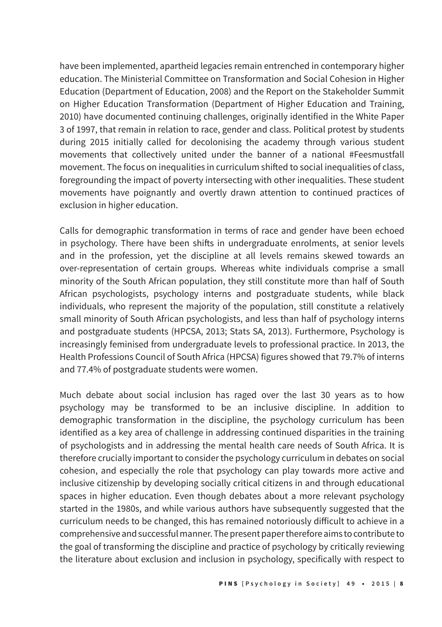have been implemented, apartheid legacies remain entrenched in contemporary higher education. The Ministerial Committee on Transformation and Social Cohesion in Higher Education (Department of Education, 2008) and the Report on the Stakeholder Summit on Higher Education Transformation (Department of Higher Education and Training, 2010) have documented continuing challenges, originally identified in the White Paper 3 of 1997, that remain in relation to race, gender and class. Political protest by students during 2015 initially called for decolonising the academy through various student movements that collectively united under the banner of a national #Feesmustfall movement. The focus on inequalities in curriculum shifted to social inequalities of class, foregrounding the impact of poverty intersecting with other inequalities. These student movements have poignantly and overtly drawn attention to continued practices of exclusion in higher education.

Calls for demographic transformation in terms of race and gender have been echoed in psychology. There have been shifts in undergraduate enrolments, at senior levels and in the profession, yet the discipline at all levels remains skewed towards an over-representation of certain groups. Whereas white individuals comprise a small minority of the South African population, they still constitute more than half of South African psychologists, psychology interns and postgraduate students, while black individuals, who represent the majority of the population, still constitute a relatively small minority of South African psychologists, and less than half of psychology interns and postgraduate students (HPCSA, 2013; Stats SA, 2013). Furthermore, Psychology is increasingly feminised from undergraduate levels to professional practice. In 2013, the Health Professions Council of South Africa (HPCSA) figures showed that 79.7% of interns and 77.4% of postgraduate students were women.

Much debate about social inclusion has raged over the last 30 years as to how psychology may be transformed to be an inclusive discipline. In addition to demographic transformation in the discipline, the psychology curriculum has been identified as a key area of challenge in addressing continued disparities in the training of psychologists and in addressing the mental health care needs of South Africa. It is therefore crucially important to consider the psychology curriculum in debates on social cohesion, and especially the role that psychology can play towards more active and inclusive citizenship by developing socially critical citizens in and through educational spaces in higher education. Even though debates about a more relevant psychology started in the 1980s, and while various authors have subsequently suggested that the curriculum needs to be changed, this has remained notoriously difficult to achieve in a comprehensive and successful manner. The present paper therefore aims to contribute to the goal of transforming the discipline and practice of psychology by critically reviewing the literature about exclusion and inclusion in psychology, specifically with respect to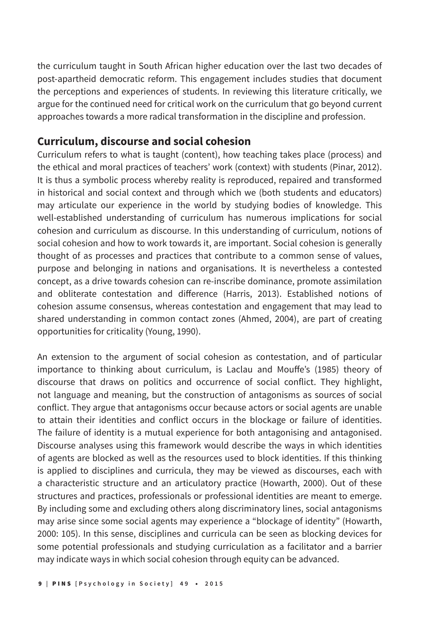the curriculum taught in South African higher education over the last two decades of post-apartheid democratic reform. This engagement includes studies that document the perceptions and experiences of students. In reviewing this literature critically, we argue for the continued need for critical work on the curriculum that go beyond current approaches towards a more radical transformation in the discipline and profession.

## **Curriculum, discourse and social cohesion**

Curriculum refers to what is taught (content), how teaching takes place (process) and the ethical and moral practices of teachers' work (context) with students (Pinar, 2012). It is thus a symbolic process whereby reality is reproduced, repaired and transformed in historical and social context and through which we (both students and educators) may articulate our experience in the world by studying bodies of knowledge. This well-established understanding of curriculum has numerous implications for social cohesion and curriculum as discourse. In this understanding of curriculum, notions of social cohesion and how to work towards it, are important. Social cohesion is generally thought of as processes and practices that contribute to a common sense of values, purpose and belonging in nations and organisations. It is nevertheless a contested concept, as a drive towards cohesion can re-inscribe dominance, promote assimilation and obliterate contestation and difference (Harris, 2013). Established notions of cohesion assume consensus, whereas contestation and engagement that may lead to shared understanding in common contact zones (Ahmed, 2004), are part of creating opportunities for criticality (Young, 1990).

An extension to the argument of social cohesion as contestation, and of particular importance to thinking about curriculum, is Laclau and Mouffe's (1985) theory of discourse that draws on politics and occurrence of social conflict. They highlight, not language and meaning, but the construction of antagonisms as sources of social conflict. They argue that antagonisms occur because actors or social agents are unable to attain their identities and conflict occurs in the blockage or failure of identities. The failure of identity is a mutual experience for both antagonising and antagonised. Discourse analyses using this framework would describe the ways in which identities of agents are blocked as well as the resources used to block identities. If this thinking is applied to disciplines and curricula, they may be viewed as discourses, each with a characteristic structure and an articulatory practice (Howarth, 2000). Out of these structures and practices, professionals or professional identities are meant to emerge. By including some and excluding others along discriminatory lines, social antagonisms may arise since some social agents may experience a "blockage of identity" (Howarth, 2000: 105). In this sense, disciplines and curricula can be seen as blocking devices for some potential professionals and studying curriculation as a facilitator and a barrier may indicate ways in which social cohesion through equity can be advanced.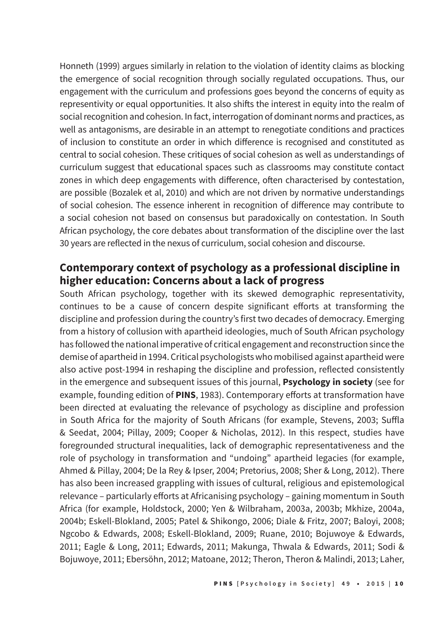Honneth (1999) argues similarly in relation to the violation of identity claims as blocking the emergence of social recognition through socially regulated occupations. Thus, our engagement with the curriculum and professions goes beyond the concerns of equity as representivity or equal opportunities. It also shifts the interest in equity into the realm of social recognition and cohesion. In fact, interrogation of dominant norms and practices, as well as antagonisms, are desirable in an attempt to renegotiate conditions and practices of inclusion to constitute an order in which difference is recognised and constituted as central to social cohesion. These critiques of social cohesion as well as understandings of curriculum suggest that educational spaces such as classrooms may constitute contact zones in which deep engagements with difference, often characterised by contestation, are possible (Bozalek et al, 2010) and which are not driven by normative understandings of social cohesion. The essence inherent in recognition of difference may contribute to a social cohesion not based on consensus but paradoxically on contestation. In South African psychology, the core debates about transformation of the discipline over the last 30 years are reflected in the nexus of curriculum, social cohesion and discourse.

## **Contemporary context of psychology as a professional discipline in higher education: Concerns about a lack of progress**

South African psychology, together with its skewed demographic representativity, continues to be a cause of concern despite significant efforts at transforming the discipline and profession during the country's first two decades of democracy. Emerging from a history of collusion with apartheid ideologies, much of South African psychology has followed the national imperative of critical engagement and reconstruction since the demise of apartheid in 1994. Critical psychologists who mobilised against apartheid were also active post-1994 in reshaping the discipline and profession, reflected consistently in the emergence and subsequent issues of this journal, **Psychology in society** (see for example, founding edition of **PINS**, 1983). Contemporary efforts at transformation have been directed at evaluating the relevance of psychology as discipline and profession in South Africa for the majority of South Africans (for example, Stevens, 2003; Suffla & Seedat, 2004; Pillay, 2009; Cooper & Nicholas, 2012). In this respect, studies have foregrounded structural inequalities, lack of demographic representativeness and the role of psychology in transformation and "undoing" apartheid legacies (for example, Ahmed & Pillay, 2004; De la Rey & Ipser, 2004; Pretorius, 2008; Sher & Long, 2012). There has also been increased grappling with issues of cultural, religious and epistemological relevance – particularly efforts at Africanising psychology – gaining momentum in South Africa (for example, Holdstock, 2000; Yen & Wilbraham, 2003a, 2003b; Mkhize, 2004a, 2004b; Eskell-Blokland, 2005; Patel & Shikongo, 2006; Diale & Fritz, 2007; Baloyi, 2008; Ngcobo & Edwards, 2008; Eskell-Blokland, 2009; Ruane, 2010; Bojuwoye & Edwards, 2011; Eagle & Long, 2011; Edwards, 2011; Makunga, Thwala & Edwards, 2011; Sodi & Bojuwoye, 2011; Ebersöhn, 2012; Matoane, 2012; Theron, Theron & Malindi, 2013; Laher,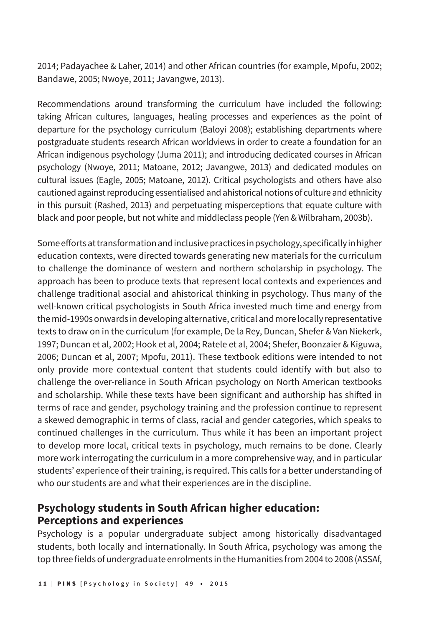2014; Padayachee & Laher, 2014) and other African countries (for example, Mpofu, 2002; Bandawe, 2005; Nwoye, 2011; Javangwe, 2013).

Recommendations around transforming the curriculum have included the following: taking African cultures, languages, healing processes and experiences as the point of departure for the psychology curriculum (Baloyi 2008); establishing departments where postgraduate students research African worldviews in order to create a foundation for an African indigenous psychology (Juma 2011); and introducing dedicated courses in African psychology (Nwoye, 2011; Matoane, 2012; Javangwe, 2013) and dedicated modules on cultural issues (Eagle, 2005; Matoane, 2012). Critical psychologists and others have also cautioned against reproducing essentialised and ahistorical notions of culture and ethnicity in this pursuit (Rashed, 2013) and perpetuating misperceptions that equate culture with black and poor people, but not white and middleclass people (Yen & Wilbraham, 2003b).

Some efforts at transformation and inclusive practices in psychology, specifically in higher education contexts, were directed towards generating new materials for the curriculum to challenge the dominance of western and northern scholarship in psychology. The approach has been to produce texts that represent local contexts and experiences and challenge traditional asocial and ahistorical thinking in psychology. Thus many of the well-known critical psychologists in South Africa invested much time and energy from the mid-1990s onwards in developing alternative, critical and more locally representative texts to draw on in the curriculum (for example, De la Rey, Duncan, Shefer & Van Niekerk, 1997; Duncan et al, 2002; Hook et al, 2004; Ratele et al, 2004; Shefer, Boonzaier & Kiguwa, 2006; Duncan et al, 2007; Mpofu, 2011). These textbook editions were intended to not only provide more contextual content that students could identify with but also to challenge the over-reliance in South African psychology on North American textbooks and scholarship. While these texts have been significant and authorship has shifted in terms of race and gender, psychology training and the profession continue to represent a skewed demographic in terms of class, racial and gender categories, which speaks to continued challenges in the curriculum. Thus while it has been an important project to develop more local, critical texts in psychology, much remains to be done. Clearly more work interrogating the curriculum in a more comprehensive way, and in particular students' experience of their training, is required. This calls for a better understanding of who our students are and what their experiences are in the discipline.

# **Psychology students in South African higher education: Perceptions and experiences**

Psychology is a popular undergraduate subject among historically disadvantaged students, both locally and internationally. In South Africa, psychology was among the top three fields of undergraduate enrolments in the Humanities from 2004 to 2008 (ASSAf,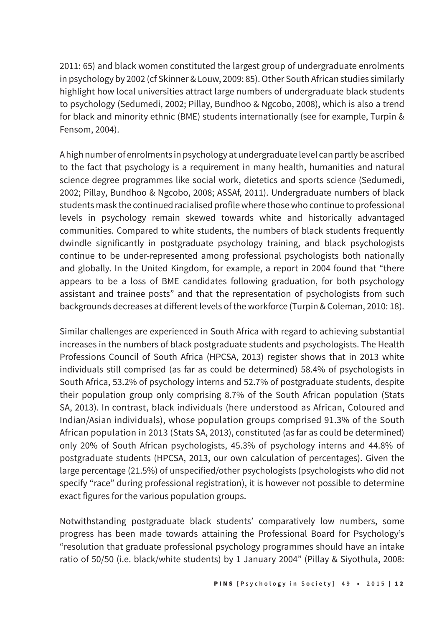2011: 65) and black women constituted the largest group of undergraduate enrolments in psychology by 2002 (cf Skinner & Louw, 2009: 85). Other South African studies similarly highlight how local universities attract large numbers of undergraduate black students to psychology (Sedumedi, 2002; Pillay, Bundhoo & Ngcobo, 2008), which is also a trend for black and minority ethnic (BME) students internationally (see for example, Turpin & Fensom, 2004).

A high number of enrolments in psychology at undergraduate level can partly be ascribed to the fact that psychology is a requirement in many health, humanities and natural science degree programmes like social work, dietetics and sports science (Sedumedi, 2002; Pillay, Bundhoo & Ngcobo, 2008; ASSAf, 2011). Undergraduate numbers of black students mask the continued racialised profile where those who continue to professional levels in psychology remain skewed towards white and historically advantaged communities. Compared to white students, the numbers of black students frequently dwindle significantly in postgraduate psychology training, and black psychologists continue to be under-represented among professional psychologists both nationally and globally. In the United Kingdom, for example, a report in 2004 found that "there appears to be a loss of BME candidates following graduation, for both psychology assistant and trainee posts" and that the representation of psychologists from such backgrounds decreases at different levels of the workforce (Turpin & Coleman, 2010: 18).

Similar challenges are experienced in South Africa with regard to achieving substantial increases in the numbers of black postgraduate students and psychologists. The Health Professions Council of South Africa (HPCSA, 2013) register shows that in 2013 white individuals still comprised (as far as could be determined) 58.4% of psychologists in South Africa, 53.2% of psychology interns and 52.7% of postgraduate students, despite their population group only comprising 8.7% of the South African population (Stats SA, 2013). In contrast, black individuals (here understood as African, Coloured and Indian/Asian individuals), whose population groups comprised 91.3% of the South African population in 2013 (Stats SA, 2013), constituted (as far as could be determined) only 20% of South African psychologists, 45.3% of psychology interns and 44.8% of postgraduate students (HPCSA, 2013, our own calculation of percentages). Given the large percentage (21.5%) of unspecified/other psychologists (psychologists who did not specify "race" during professional registration), it is however not possible to determine exact figures for the various population groups.

Notwithstanding postgraduate black students' comparatively low numbers, some progress has been made towards attaining the Professional Board for Psychology's "resolution that graduate professional psychology programmes should have an intake ratio of 50/50 (i.e. black/white students) by 1 January 2004" (Pillay & Siyothula, 2008: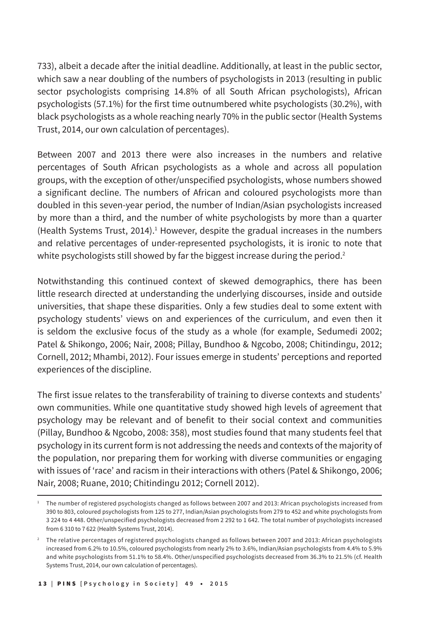733), albeit a decade after the initial deadline. Additionally, at least in the public sector, which saw a near doubling of the numbers of psychologists in 2013 (resulting in public sector psychologists comprising 14.8% of all South African psychologists), African psychologists (57.1%) for the first time outnumbered white psychologists (30.2%), with black psychologists as a whole reaching nearly 70% in the public sector (Health Systems Trust, 2014, our own calculation of percentages).

Between 2007 and 2013 there were also increases in the numbers and relative percentages of South African psychologists as a whole and across all population groups, with the exception of other/unspecified psychologists, whose numbers showed a significant decline. The numbers of African and coloured psychologists more than doubled in this seven-year period, the number of Indian/Asian psychologists increased by more than a third, and the number of white psychologists by more than a quarter (Health Systems Trust, 2014).<sup>1</sup> However, despite the gradual increases in the numbers and relative percentages of under-represented psychologists, it is ironic to note that white psychologists still showed by far the biggest increase during the period.<sup>2</sup>

Notwithstanding this continued context of skewed demographics, there has been little research directed at understanding the underlying discourses, inside and outside universities, that shape these disparities. Only a few studies deal to some extent with psychology students' views on and experiences of the curriculum, and even then it is seldom the exclusive focus of the study as a whole (for example, Sedumedi 2002; Patel & Shikongo, 2006; Nair, 2008; Pillay, Bundhoo & Ngcobo, 2008; Chitindingu, 2012; Cornell, 2012; Mhambi, 2012). Four issues emerge in students' perceptions and reported experiences of the discipline.

The first issue relates to the transferability of training to diverse contexts and students' own communities. While one quantitative study showed high levels of agreement that psychology may be relevant and of benefit to their social context and communities (Pillay, Bundhoo & Ngcobo, 2008: 358), most studies found that many students feel that psychology in its current form is not addressing the needs and contexts of the majority of the population, nor preparing them for working with diverse communities or engaging with issues of 'race' and racism in their interactions with others (Patel & Shikongo, 2006; Nair, 2008; Ruane, 2010; Chitindingu 2012; Cornell 2012).

<sup>&</sup>lt;sup>1</sup> The number of registered psychologists changed as follows between 2007 and 2013: African psychologists increased from 390 to 803, coloured psychologists from 125 to 277, Indian/Asian psychologists from 279 to 452 and white psychologists from 3 224 to 4 448. Other/unspecified psychologists decreased from 2 292 to 1 642. The total number of psychologists increased from 6 310 to 7 622 (Health Systems Trust, 2014).

<sup>&</sup>lt;sup>2</sup> The relative percentages of registered psychologists changed as follows between 2007 and 2013: African psychologists increased from 6.2% to 10.5%, coloured psychologists from nearly 2% to 3.6%, Indian/Asian psychologists from 4.4% to 5.9% and white psychologists from 51.1% to 58.4%. Other/unspecified psychologists decreased from 36.3% to 21.5% (cf. Health Systems Trust, 2014, our own calculation of percentages).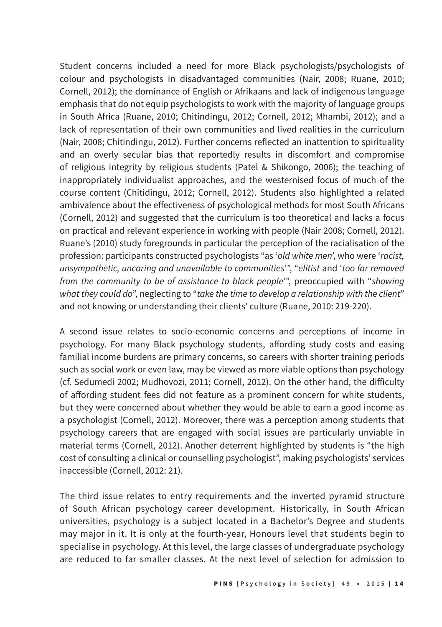Student concerns included a need for more Black psychologists/psychologists of colour and psychologists in disadvantaged communities (Nair, 2008; Ruane, 2010; Cornell, 2012); the dominance of English or Afrikaans and lack of indigenous language emphasis that do not equip psychologists to work with the majority of language groups in South Africa (Ruane, 2010; Chitindingu, 2012; Cornell, 2012; Mhambi, 2012); and a lack of representation of their own communities and lived realities in the curriculum (Nair, 2008; Chitindingu, 2012). Further concerns reflected an inattention to spirituality and an overly secular bias that reportedly results in discomfort and compromise of religious integrity by religious students (Patel & Shikongo, 2006); the teaching of inappropriately individualist approaches, and the westernised focus of much of the course content (Chitidingu, 2012; Cornell, 2012). Students also highlighted a related ambivalence about the effectiveness of psychological methods for most South Africans (Cornell, 2012) and suggested that the curriculum is too theoretical and lacks a focus on practical and relevant experience in working with people (Nair 2008; Cornell, 2012). Ruane's (2010) study foregrounds in particular the perception of the racialisation of the profession: participants constructed psychologists "as '*old white men*', who were '*racist, unsympathetic, uncaring and unavailable to communities*'", "*elitist* and '*too far removed from the community to be of assistance to black people*'", preoccupied with "*showing what they could do*", neglecting to "*take the time to develop a relationship with the client*" and not knowing or understanding their clients' culture (Ruane, 2010: 219-220).

A second issue relates to socio-economic concerns and perceptions of income in psychology. For many Black psychology students, affording study costs and easing familial income burdens are primary concerns, so careers with shorter training periods such as social work or even law, may be viewed as more viable options than psychology (cf. Sedumedi 2002; Mudhovozi, 2011; Cornell, 2012). On the other hand, the difficulty of affording student fees did not feature as a prominent concern for white students, but they were concerned about whether they would be able to earn a good income as a psychologist (Cornell, 2012). Moreover, there was a perception among students that psychology careers that are engaged with social issues are particularly unviable in material terms (Cornell, 2012). Another deterrent highlighted by students is "the high cost of consulting a clinical or counselling psychologist", making psychologists' services inaccessible (Cornell, 2012: 21).

The third issue relates to entry requirements and the inverted pyramid structure of South African psychology career development. Historically, in South African universities, psychology is a subject located in a Bachelor's Degree and students may major in it. It is only at the fourth-year, Honours level that students begin to specialise in psychology. At this level, the large classes of undergraduate psychology are reduced to far smaller classes. At the next level of selection for admission to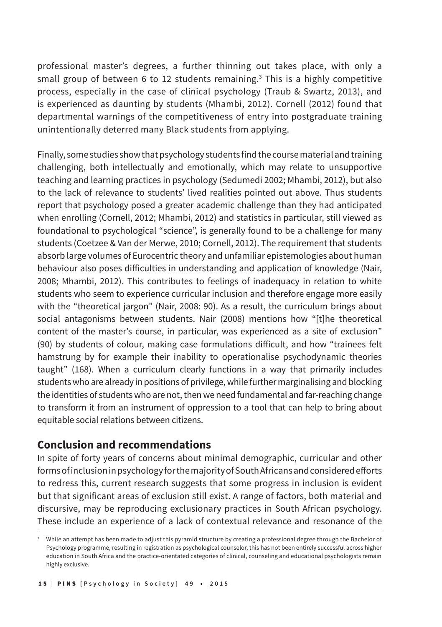professional master's degrees, a further thinning out takes place, with only a small group of between 6 to 12 students remaining.<sup>3</sup> This is a highly competitive process, especially in the case of clinical psychology (Traub & Swartz, 2013), and is experienced as daunting by students (Mhambi, 2012). Cornell (2012) found that departmental warnings of the competitiveness of entry into postgraduate training unintentionally deterred many Black students from applying.

Finally, some studies show that psychology students find the course material and training challenging, both intellectually and emotionally, which may relate to unsupportive teaching and learning practices in psychology (Sedumedi 2002; Mhambi, 2012), but also to the lack of relevance to students' lived realities pointed out above. Thus students report that psychology posed a greater academic challenge than they had anticipated when enrolling (Cornell, 2012; Mhambi, 2012) and statistics in particular, still viewed as foundational to psychological "science", is generally found to be a challenge for many students (Coetzee & Van der Merwe, 2010; Cornell, 2012). The requirement that students absorb large volumes of Eurocentric theory and unfamiliar epistemologies about human behaviour also poses difficulties in understanding and application of knowledge (Nair, 2008; Mhambi, 2012). This contributes to feelings of inadequacy in relation to white students who seem to experience curricular inclusion and therefore engage more easily with the "theoretical jargon" (Nair, 2008: 90). As a result, the curriculum brings about social antagonisms between students. Nair (2008) mentions how "[t]he theoretical content of the master's course, in particular, was experienced as a site of exclusion" (90) by students of colour, making case formulations difficult, and how "trainees felt hamstrung by for example their inability to operationalise psychodynamic theories taught" (168). When a curriculum clearly functions in a way that primarily includes students who are already in positions of privilege, while further marginalising and blocking the identities of students who are not, then we need fundamental and far-reaching change to transform it from an instrument of oppression to a tool that can help to bring about equitable social relations between citizens.

## **Conclusion and recommendations**

In spite of forty years of concerns about minimal demographic, curricular and other forms of inclusion in psychology for the majority of South Africans and considered efforts to redress this, current research suggests that some progress in inclusion is evident but that significant areas of exclusion still exist. A range of factors, both material and discursive, may be reproducing exclusionary practices in South African psychology. These include an experience of a lack of contextual relevance and resonance of the

<sup>3</sup> While an attempt has been made to adjust this pyramid structure by creating a professional degree through the Bachelor of Psychology programme, resulting in registration as psychological counselor, this has not been entirely successful across higher education in South Africa and the practice-orientated categories of clinical, counseling and educational psychologists remain highly exclusive.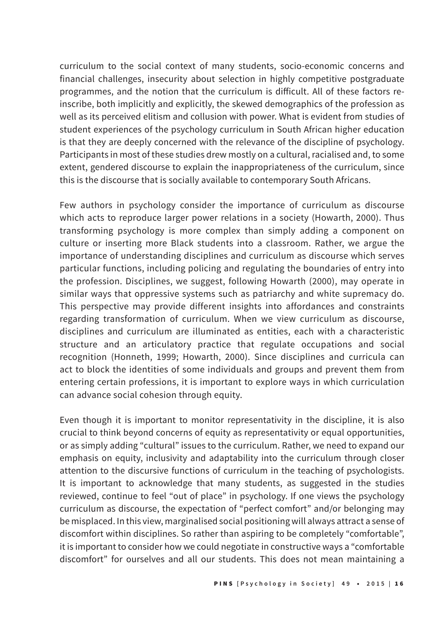curriculum to the social context of many students, socio-economic concerns and financial challenges, insecurity about selection in highly competitive postgraduate programmes, and the notion that the curriculum is difficult. All of these factors reinscribe, both implicitly and explicitly, the skewed demographics of the profession as well as its perceived elitism and collusion with power. What is evident from studies of student experiences of the psychology curriculum in South African higher education is that they are deeply concerned with the relevance of the discipline of psychology. Participants in most of these studies drew mostly on a cultural, racialised and, to some extent, gendered discourse to explain the inappropriateness of the curriculum, since this is the discourse that is socially available to contemporary South Africans.

Few authors in psychology consider the importance of curriculum as discourse which acts to reproduce larger power relations in a society (Howarth, 2000). Thus transforming psychology is more complex than simply adding a component on culture or inserting more Black students into a classroom. Rather, we argue the importance of understanding disciplines and curriculum as discourse which serves particular functions, including policing and regulating the boundaries of entry into the profession. Disciplines, we suggest, following Howarth (2000), may operate in similar ways that oppressive systems such as patriarchy and white supremacy do. This perspective may provide different insights into affordances and constraints regarding transformation of curriculum. When we view curriculum as discourse, disciplines and curriculum are illuminated as entities, each with a characteristic structure and an articulatory practice that regulate occupations and social recognition (Honneth, 1999; Howarth, 2000). Since disciplines and curricula can act to block the identities of some individuals and groups and prevent them from entering certain professions, it is important to explore ways in which curriculation can advance social cohesion through equity.

Even though it is important to monitor representativity in the discipline, it is also crucial to think beyond concerns of equity as representativity or equal opportunities, or as simply adding "cultural" issues to the curriculum. Rather, we need to expand our emphasis on equity, inclusivity and adaptability into the curriculum through closer attention to the discursive functions of curriculum in the teaching of psychologists. It is important to acknowledge that many students, as suggested in the studies reviewed, continue to feel "out of place" in psychology. If one views the psychology curriculum as discourse, the expectation of "perfect comfort" and/or belonging may be misplaced. In this view, marginalised social positioning will always attract a sense of discomfort within disciplines. So rather than aspiring to be completely "comfortable", it is important to consider how we could negotiate in constructive ways a "comfortable discomfort" for ourselves and all our students. This does not mean maintaining a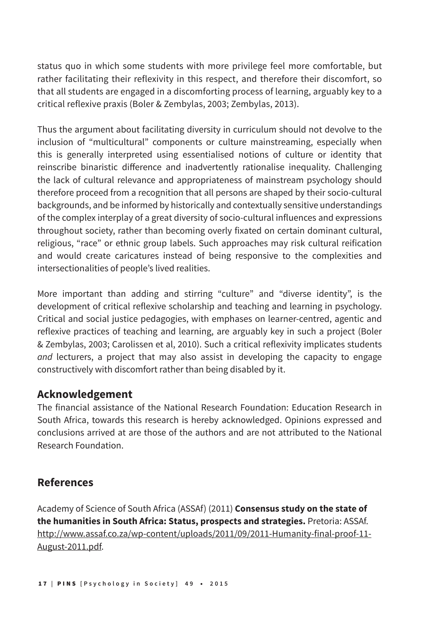status quo in which some students with more privilege feel more comfortable, but rather facilitating their reflexivity in this respect, and therefore their discomfort, so that all students are engaged in a discomforting process of learning, arguably key to a critical reflexive praxis (Boler & Zembylas, 2003; Zembylas, 2013).

Thus the argument about facilitating diversity in curriculum should not devolve to the inclusion of "multicultural" components or culture mainstreaming, especially when this is generally interpreted using essentialised notions of culture or identity that reinscribe binaristic difference and inadvertently rationalise inequality. Challenging the lack of cultural relevance and appropriateness of mainstream psychology should therefore proceed from a recognition that all persons are shaped by their socio-cultural backgrounds, and be informed by historically and contextually sensitive understandings of the complex interplay of a great diversity of socio-cultural influences and expressions throughout society, rather than becoming overly fixated on certain dominant cultural, religious, "race" or ethnic group labels. Such approaches may risk cultural reification and would create caricatures instead of being responsive to the complexities and intersectionalities of people's lived realities.

More important than adding and stirring "culture" and "diverse identity", is the development of critical reflexive scholarship and teaching and learning in psychology. Critical and social justice pedagogies, with emphases on learner-centred, agentic and reflexive practices of teaching and learning, are arguably key in such a project (Boler & Zembylas, 2003; Carolissen et al, 2010). Such a critical reflexivity implicates students *and* lecturers, a project that may also assist in developing the capacity to engage constructively with discomfort rather than being disabled by it.

## **Acknowledgement**

The financial assistance of the National Research Foundation: Education Research in South Africa, towards this research is hereby acknowledged. Opinions expressed and conclusions arrived at are those of the authors and are not attributed to the National Research Foundation.

# **References**

Academy of Science of South Africa (ASSAf) (2011) **Consensus study on the state of the humanities in South Africa: Status, prospects and strategies.** Pretoria: ASSAf. http://www.assaf.co.za/wp-content/uploads/2011/09/2011-Humanity-final-proof-11- August-2011.pdf.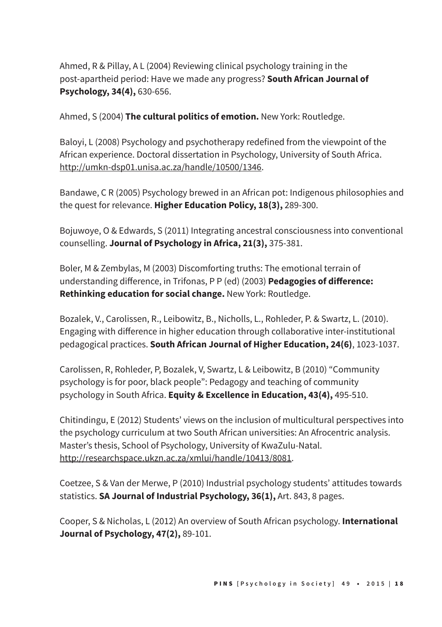Ahmed, R & Pillay, A L (2004) Reviewing clinical psychology training in the post-apartheid period: Have we made any progress? **South African Journal of Psychology, 34(4),** 630-656.

Ahmed, S (2004) **The cultural politics of emotion.** New York: Routledge.

Baloyi, L (2008) Psychology and psychotherapy redefined from the viewpoint of the African experience. Doctoral dissertation in Psychology, University of South Africa. http://umkn-dsp01.unisa.ac.za/handle/10500/1346.

Bandawe, C R (2005) Psychology brewed in an African pot: Indigenous philosophies and the quest for relevance. **Higher Education Policy, 18(3),** 289-300.

Bojuwoye, O & Edwards, S (2011) Integrating ancestral consciousness into conventional counselling. **Journal of Psychology in Africa, 21(3),** 375-381.

Boler, M & Zembylas, M (2003) Discomforting truths: The emotional terrain of understanding difference, in Trifonas, P P (ed) (2003) **Pedagogies of difference: Rethinking education for social change.** New York: Routledge.

Bozalek, V., Carolissen, R., Leibowitz, B., Nicholls, L., Rohleder, P. & Swartz, L. (2010). Engaging with difference in higher education through collaborative inter-institutional pedagogical practices. **South African Journal of Higher Education, 24(6)**, 1023-1037.

Carolissen, R, Rohleder, P, Bozalek, V, Swartz, L & Leibowitz, B (2010) "Community psychology is for poor, black people": Pedagogy and teaching of community psychology in South Africa. **Equity & Excellence in Education, 43(4),** 495-510.

Chitindingu, E (2012) Students' views on the inclusion of multicultural perspectives into the psychology curriculum at two South African universities: An Afrocentric analysis. Master's thesis, School of Psychology, University of KwaZulu-Natal. http://researchspace.ukzn.ac.za/xmlui/handle/10413/8081.

Coetzee, S & Van der Merwe, P (2010) Industrial psychology students' attitudes towards statistics. **SA Journal of Industrial Psychology, 36(1),** Art. 843, 8 pages.

Cooper, S & Nicholas, L (2012) An overview of South African psychology. **International Journal of Psychology, 47(2),** 89-101.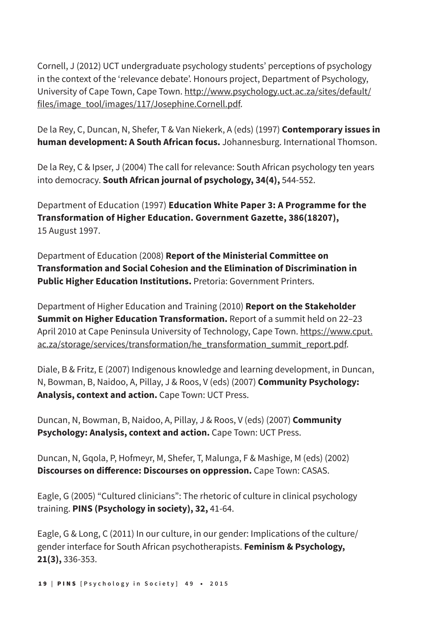Cornell, J (2012) UCT undergraduate psychology students' perceptions of psychology in the context of the 'relevance debate'. Honours project, Department of Psychology, University of Cape Town, Cape Town. http://www.psychology.uct.ac.za/sites/default/ files/image\_tool/images/117/Josephine.Cornell.pdf.

De la Rey, C, Duncan, N, Shefer, T & Van Niekerk, A (eds) (1997) **Contemporary issues in human development: A South African focus.** Johannesburg. International Thomson.

De la Rey, C & Ipser, J (2004) The call for relevance: South African psychology ten years into democracy. **South African journal of psychology, 34(4),** 544-552.

Department of Education (1997) **Education White Paper 3: A Programme for the Transformation of Higher Education. Government Gazette, 386(18207),** 15 August 1997.

Department of Education (2008) **Report of the Ministerial Committee on Transformation and Social Cohesion and the Elimination of Discrimination in Public Higher Education Institutions.** Pretoria: Government Printers.

Department of Higher Education and Training (2010) **Report on the Stakeholder Summit on Higher Education Transformation.** Report of a summit held on 22–23 April 2010 at Cape Peninsula University of Technology, Cape Town. https://www.cput. ac.za/storage/services/transformation/he\_transformation\_summit\_report.pdf.

Diale, B & Fritz, E (2007) Indigenous knowledge and learning development, in Duncan, N, Bowman, B, Naidoo, A, Pillay, J & Roos, V (eds) (2007) **Community Psychology: Analysis, context and action.** Cape Town: UCT Press.

Duncan, N, Bowman, B, Naidoo, A, Pillay, J & Roos, V (eds) (2007) **Community Psychology: Analysis, context and action.** Cape Town: UCT Press.

Duncan, N, Gqola, P, Hofmeyr, M, Shefer, T, Malunga, F & Mashige, M (eds) (2002) **Discourses on difference: Discourses on oppression.** Cape Town: CASAS.

Eagle, G (2005) "Cultured clinicians": The rhetoric of culture in clinical psychology training. **PINS (Psychology in society), 32,** 41-64.

Eagle, G & Long, C (2011) In our culture, in our gender: Implications of the culture/ gender interface for South African psychotherapists. **Feminism & Psychology, 21(3),** 336-353.

1 9 **|** PINS **[Psychology in Society] 49** • **2015**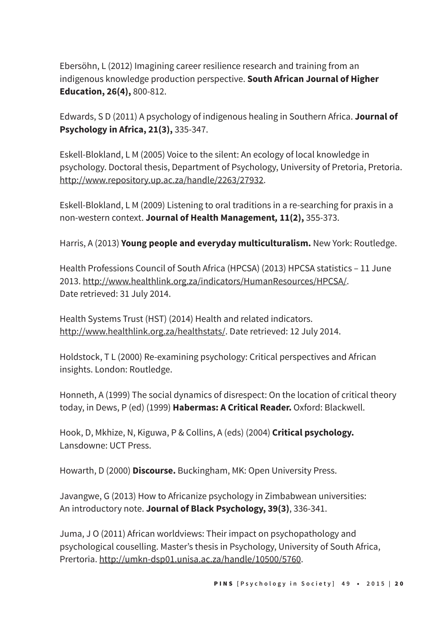Ebersöhn, L (2012) Imagining career resilience research and training from an indigenous knowledge production perspective. **South African Journal of Higher Education, 26(4),** 800-812.

Edwards, S D (2011) A psychology of indigenous healing in Southern Africa. **Journal of Psychology in Africa, 21(3),** 335-347.

Eskell-Blokland, L M (2005) Voice to the silent: An ecology of local knowledge in psychology. Doctoral thesis, Department of Psychology, University of Pretoria, Pretoria. http://www.repository.up.ac.za/handle/2263/27932.

Eskell-Blokland, L M (2009) Listening to oral traditions in a re-searching for praxis in a non-western context. **Journal of Health Management***,* **11(2),** 355-373.

Harris, A (2013) **Young people and everyday multiculturalism.** New York: Routledge.

Health Professions Council of South Africa (HPCSA) (2013) HPCSA statistics – 11 June 2013. http://www.healthlink.org.za/indicators/HumanResources/HPCSA/. Date retrieved: 31 July 2014.

Health Systems Trust (HST) (2014) Health and related indicators. http://www.healthlink.org.za/healthstats/. Date retrieved: 12 July 2014.

Holdstock, T L (2000) Re-examining psychology: Critical perspectives and African insights. London: Routledge.

Honneth, A (1999) The social dynamics of disrespect: On the location of critical theory today, in Dews, P (ed) (1999) **Habermas: A Critical Reader.** Oxford: Blackwell.

Hook, D, Mkhize, N, Kiguwa, P & Collins, A (eds) (2004) **Critical psychology.** Lansdowne: UCT Press.

Howarth, D (2000) **Discourse.** Buckingham, MK: Open University Press.

Javangwe, G (2013) How to Africanize psychology in Zimbabwean universities: An introductory note. **Journal of Black Psychology, 39(3)**, 336-341.

Juma, J O (2011) African worldviews: Their impact on psychopathology and psychological couselling. Master's thesis in Psychology, University of South Africa, Prertoria. http://umkn-dsp01.unisa.ac.za/handle/10500/5760.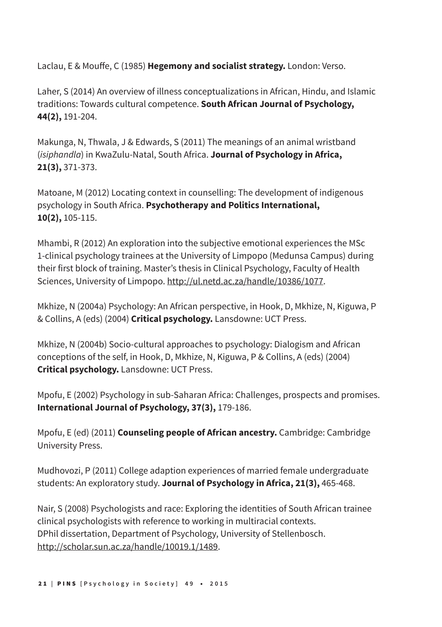Laclau, E & Mouffe, C (1985) **Hegemony and socialist strategy.** London: Verso.

Laher, S (2014) An overview of illness conceptualizations in African, Hindu, and Islamic traditions: Towards cultural competence. **South African Journal of Psychology, 44(2),** 191-204.

Makunga, N, Thwala, J & Edwards, S (2011) The meanings of an animal wristband (*isiphandla*) in KwaZulu-Natal, South Africa. **Journal of Psychology in Africa, 21(3),** 371-373.

Matoane, M (2012) Locating context in counselling: The development of indigenous psychology in South Africa. **Psychotherapy and Politics International, 10(2),** 105-115.

Mhambi, R (2012) An exploration into the subjective emotional experiences the MSc 1-clinical psychology trainees at the University of Limpopo (Medunsa Campus) during their first block of training. Master's thesis in Clinical Psychology, Faculty of Health Sciences, University of Limpopo. http://ul.netd.ac.za/handle/10386/1077.

Mkhize, N (2004a) Psychology: An African perspective, in Hook, D, Mkhize, N, Kiguwa, P & Collins, A (eds) (2004) **Critical psychology.** Lansdowne: UCT Press.

Mkhize, N (2004b) Socio-cultural approaches to psychology: Dialogism and African conceptions of the self, in Hook, D, Mkhize, N, Kiguwa, P & Collins, A (eds) (2004) **Critical psychology.** Lansdowne: UCT Press.

Mpofu, E (2002) Psychology in sub-Saharan Africa: Challenges, prospects and promises. **International Journal of Psychology, 37(3),** 179-186.

Mpofu, E (ed) (2011) **Counseling people of African ancestry.** Cambridge: Cambridge University Press.

Mudhovozi, P (2011) College adaption experiences of married female undergraduate students: An exploratory study. **Journal of Psychology in Africa, 21(3),** 465-468.

Nair, S (2008) Psychologists and race: Exploring the identities of South African trainee clinical psychologists with reference to working in multiracial contexts. DPhil dissertation, Department of Psychology, University of Stellenbosch. http://scholar.sun.ac.za/handle/10019.1/1489.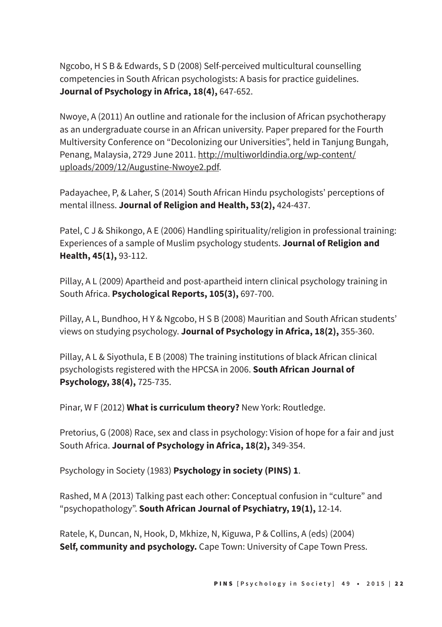Ngcobo, H S B & Edwards, S D (2008) Self-perceived multicultural counselling competencies in South African psychologists: A basis for practice guidelines. **Journal of Psychology in Africa, 18(4),** 647-652.

Nwoye, A (2011) An outline and rationale for the inclusion of African psychotherapy as an undergraduate course in an African university. Paper prepared for the Fourth Multiversity Conference on "Decolonizing our Universities", held in Tanjung Bungah, Penang, Malaysia, 2729 June 2011. http://multiworldindia.org/wp-content/ uploads/2009/12/Augustine-Nwoye2.pdf.

Padayachee, P, & Laher, S (2014) South African Hindu psychologists' perceptions of mental illness. **Journal of Religion and Health, 53(2),** 424-437.

Patel, C J & Shikongo, A E (2006) Handling spirituality/religion in professional training: Experiences of a sample of Muslim psychology students. **Journal of Religion and Health, 45(1),** 93-112.

Pillay, A L (2009) Apartheid and post-apartheid intern clinical psychology training in South Africa. **Psychological Reports, 105(3),** 697-700.

Pillay, A L, Bundhoo, H Y & Ngcobo, H S B (2008) Mauritian and South African students' views on studying psychology. **Journal of Psychology in Africa, 18(2),** 355-360.

Pillay, A L & Siyothula, E B (2008) The training institutions of black African clinical psychologists registered with the HPCSA in 2006. **South African Journal of Psychology, 38(4),** 725-735.

Pinar, W F (2012) **What is curriculum theory?** New York: Routledge.

Pretorius, G (2008) Race, sex and class in psychology: Vision of hope for a fair and just South Africa. **Journal of Psychology in Africa, 18(2),** 349-354.

Psychology in Society (1983) **Psychology in society (PINS) 1**.

Rashed, M A (2013) Talking past each other: Conceptual confusion in "culture" and "psychopathology". **South African Journal of Psychiatry, 19(1),** 12-14.

Ratele, K, Duncan, N, Hook, D, Mkhize, N, Kiguwa, P & Collins, A (eds) (2004) **Self, community and psychology.** Cape Town: University of Cape Town Press.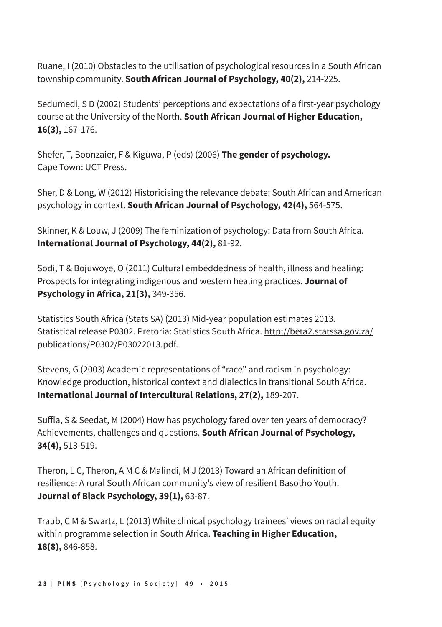Ruane, I (2010) Obstacles to the utilisation of psychological resources in a South African township community. **South African Journal of Psychology, 40(2),** 214-225.

Sedumedi, S D (2002) Students' perceptions and expectations of a first-year psychology course at the University of the North. **South African Journal of Higher Education, 16(3),** 167-176.

Shefer, T, Boonzaier, F & Kiguwa, P (eds) (2006) **The gender of psychology.** Cape Town: UCT Press.

Sher, D & Long, W (2012) Historicising the relevance debate: South African and American psychology in context. **South African Journal of Psychology, 42(4),** 564-575.

Skinner, K & Louw, J (2009) The feminization of psychology: Data from South Africa. **International Journal of Psychology, 44(2),** 81-92.

Sodi, T & Bojuwoye, O (2011) Cultural embeddedness of health, illness and healing: Prospects for integrating indigenous and western healing practices. **Journal of Psychology in Africa, 21(3),** 349-356.

Statistics South Africa (Stats SA) (2013) Mid-year population estimates 2013. Statistical release P0302. Pretoria: Statistics South Africa. http://beta2.statssa.gov.za/ publications/P0302/P03022013.pdf.

Stevens, G (2003) Academic representations of "race" and racism in psychology: Knowledge production, historical context and dialectics in transitional South Africa. **International Journal of Intercultural Relations, 27(2),** 189-207.

Suffla, S & Seedat, M (2004) How has psychology fared over ten years of democracy? Achievements, challenges and questions. **South African Journal of Psychology, 34(4),** 513-519.

Theron, L C, Theron, A M C & Malindi, M J (2013) Toward an African definition of resilience: A rural South African community's view of resilient Basotho Youth. **Journal of Black Psychology, 39(1),** 63-87.

Traub, C M & Swartz, L (2013) White clinical psychology trainees' views on racial equity within programme selection in South Africa. **Teaching in Higher Education, 18(8),** 846-858.